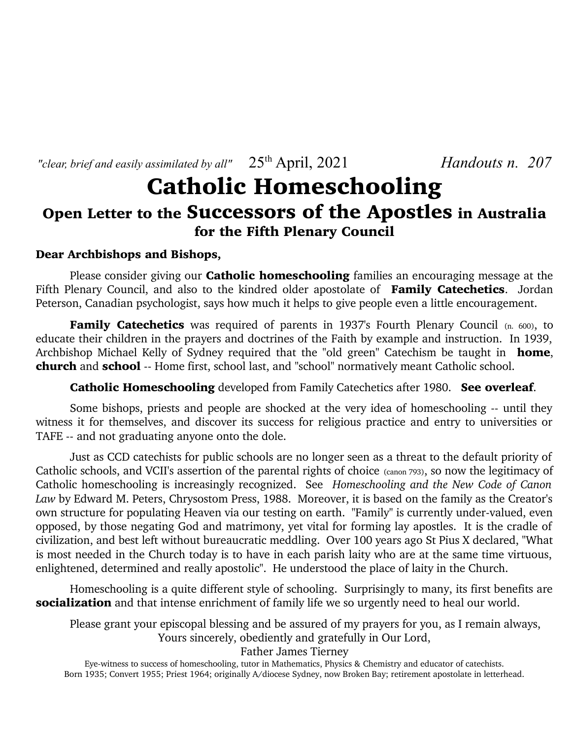*"clear, brief and easily assimilated by all"*  $25<sup>th</sup>$  April, 2021 *Handouts n.* 207

# Catholic Homeschooling Open Letter to the Successors of the Apostles in Australia for the Fifth Plenary Council

### Dear Archbishops and Bishops,

Please consider giving our **Catholic homeschooling** families an encouraging message at the Fifth Plenary Council, and also to the kindred older apostolate of Family Catechetics. Jordan Peterson, Canadian psychologist, says how much it helps to give people even a little encouragement.

Family Catechetics was required of parents in 1937's Fourth Plenary Council (n. 600), to educate their children in the prayers and doctrines of the Faith by example and instruction. In 1939, Archbishop Michael Kelly of Sydney required that the "old green" Catechism be taught in **home**, church and school -- Home first, school last, and "school" normatively meant Catholic school.

Catholic Homeschooling developed from Family Catechetics after 1980. See overleaf.

Some bishops, priests and people are shocked at the very idea of homeschooling -- until they witness it for themselves, and discover its success for religious practice and entry to universities or TAFE -- and not graduating anyone onto the dole.

Just as CCD catechists for public schools are no longer seen as a threat to the default priority of Catholic schools, and VCII's assertion of the parental rights of choice (canon 793), so now the legitimacy of Catholic homeschooling is increasingly recognized. See *Homeschooling and the New Code of Canon Law* by Edward M. Peters, Chrysostom Press, 1988. Moreover, it is based on the family as the Creator's own structure for populating Heaven via our testing on earth. "Family" is currently under-valued, even opposed, by those negating God and matrimony, yet vital for forming lay apostles. It is the cradle of civilization, and best left without bureaucratic meddling. Over 100 years ago St Pius X declared, "What is most needed in the Church today is to have in each parish laity who are at the same time virtuous, enlightened, determined and really apostolic". He understood the place of laity in the Church.

Homeschooling is a quite different style of schooling. Surprisingly to many, its first benefits are socialization and that intense enrichment of family life we so urgently need to heal our world.

Please grant your episcopal blessing and be assured of my prayers for you, as I remain always, Yours sincerely, obediently and gratefully in Our Lord,

Father James Tierney

Eye-witness to success of homeschooling, tutor in Mathematics, Physics & Chemistry and educator of catechists. Born 1935; Convert 1955; Priest 1964; originally A/diocese Sydney, now Broken Bay; retirement apostolate in letterhead.